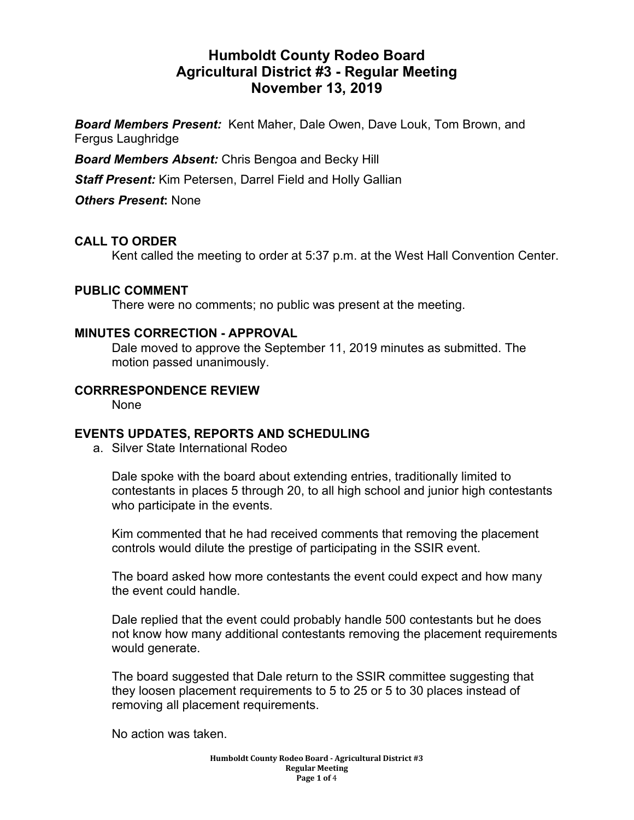# **Humboldt County Rodeo Board Agricultural District #3 - Regular Meeting November 13, 2019**

*Board Members Present:* Kent Maher, Dale Owen, Dave Louk, Tom Brown, and Fergus Laughridge

*Board Members Absent:* Chris Bengoa and Becky Hill

*Staff Present:* Kim Petersen, Darrel Field and Holly Gallian

*Others Present***:** None

## **CALL TO ORDER**

Kent called the meeting to order at 5:37 p.m. at the West Hall Convention Center.

#### **PUBLIC COMMENT**

There were no comments; no public was present at the meeting.

#### **MINUTES CORRECTION - APPROVAL**

Dale moved to approve the September 11, 2019 minutes as submitted. The motion passed unanimously.

#### **CORRRESPONDENCE REVIEW**

None

## **EVENTS UPDATES, REPORTS AND SCHEDULING**

a. Silver State International Rodeo

Dale spoke with the board about extending entries, traditionally limited to contestants in places 5 through 20, to all high school and junior high contestants who participate in the events.

Kim commented that he had received comments that removing the placement controls would dilute the prestige of participating in the SSIR event.

The board asked how more contestants the event could expect and how many the event could handle.

Dale replied that the event could probably handle 500 contestants but he does not know how many additional contestants removing the placement requirements would generate.

The board suggested that Dale return to the SSIR committee suggesting that they loosen placement requirements to 5 to 25 or 5 to 30 places instead of removing all placement requirements.

No action was taken.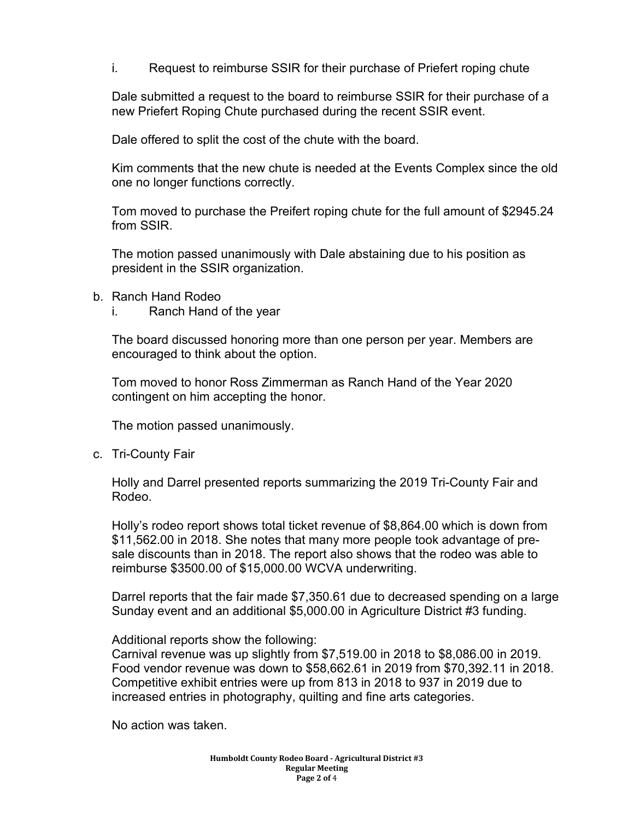i. Request to reimburse SSIR for their purchase of Priefert roping chute

Dale submitted a request to the board to reimburse SSIR for their purchase of a new Priefert Roping Chute purchased during the recent SSIR event.

Dale offered to split the cost of the chute with the board.

Kim comments that the new chute is needed at the Events Complex since the old one no longer functions correctly.

Tom moved to purchase the Preifert roping chute for the full amount of \$2945.24 from SSIR.

The motion passed unanimously with Dale abstaining due to his position as president in the SSIR organization.

- b. Ranch Hand Rodeo
	- i. Ranch Hand of the year

The board discussed honoring more than one person per year. Members are encouraged to think about the option.

Tom moved to honor Ross Zimmerman as Ranch Hand of the Year 2020 contingent on him accepting the honor.

The motion passed unanimously.

c. Tri-County Fair

Holly and Darrel presented reports summarizing the 2019 Tri-County Fair and Rodeo.

Holly's rodeo report shows total ticket revenue of \$8,864.00 which is down from \$11,562.00 in 2018. She notes that many more people took advantage of presale discounts than in 2018. The report also shows that the rodeo was able to reimburse \$3500.00 of \$15,000.00 WCVA underwriting.

Darrel reports that the fair made \$7,350.61 due to decreased spending on a large Sunday event and an additional \$5,000.00 in Agriculture District #3 funding.

Additional reports show the following:

Carnival revenue was up slightly from \$7,519.00 in 2018 to \$8,086.00 in 2019. Food vendor revenue was down to \$58,662.61 in 2019 from \$70,392.11 in 2018. Competitive exhibit entries were up from 813 in 2018 to 937 in 2019 due to increased entries in photography, quilting and fine arts categories.

No action was taken.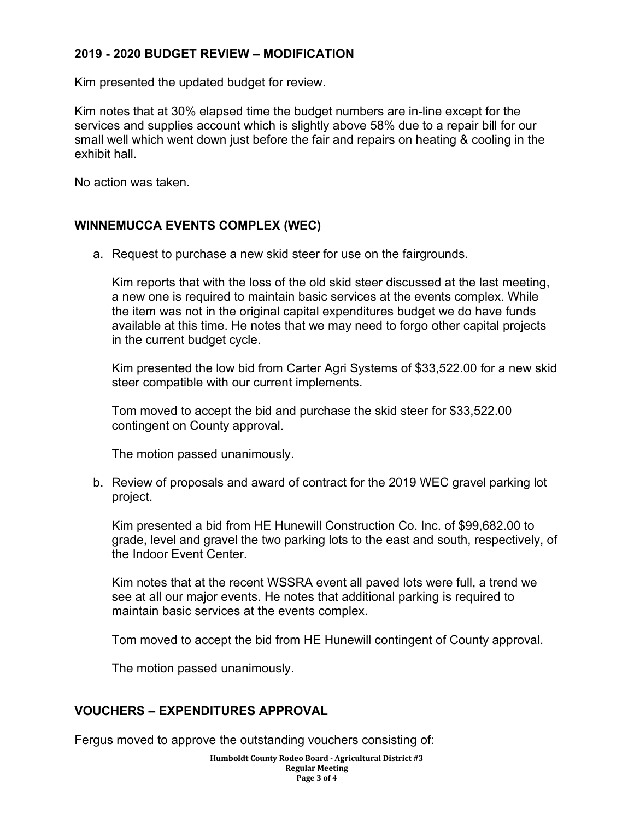## **2019 - 2020 BUDGET REVIEW – MODIFICATION**

Kim presented the updated budget for review.

Kim notes that at 30% elapsed time the budget numbers are in-line except for the services and supplies account which is slightly above 58% due to a repair bill for our small well which went down just before the fair and repairs on heating & cooling in the exhibit hall.

No action was taken.

#### **WINNEMUCCA EVENTS COMPLEX (WEC)**

a. Request to purchase a new skid steer for use on the fairgrounds.

Kim reports that with the loss of the old skid steer discussed at the last meeting, a new one is required to maintain basic services at the events complex. While the item was not in the original capital expenditures budget we do have funds available at this time. He notes that we may need to forgo other capital projects in the current budget cycle.

Kim presented the low bid from Carter Agri Systems of \$33,522.00 for a new skid steer compatible with our current implements.

Tom moved to accept the bid and purchase the skid steer for \$33,522.00 contingent on County approval.

The motion passed unanimously.

b. Review of proposals and award of contract for the 2019 WEC gravel parking lot project.

Kim presented a bid from HE Hunewill Construction Co. Inc. of \$99,682.00 to grade, level and gravel the two parking lots to the east and south, respectively, of the Indoor Event Center.

Kim notes that at the recent WSSRA event all paved lots were full, a trend we see at all our major events. He notes that additional parking is required to maintain basic services at the events complex.

Tom moved to accept the bid from HE Hunewill contingent of County approval.

The motion passed unanimously.

## **VOUCHERS – EXPENDITURES APPROVAL**

Fergus moved to approve the outstanding vouchers consisting of:

**Humboldt County Rodeo Board - Agricultural District #3 Regular Meeting Page 3 of** 4